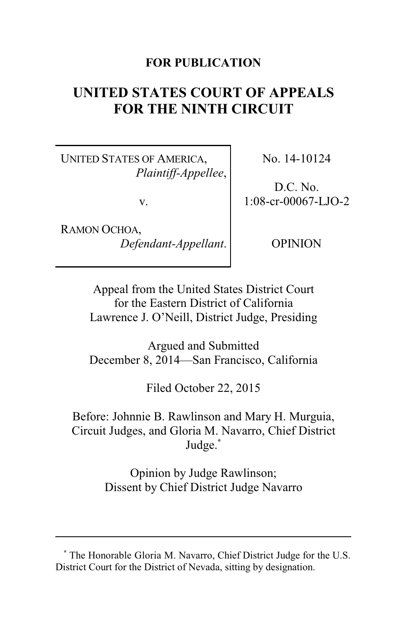## **FOR PUBLICATION**

# **UNITED STATES COURT OF APPEALS FOR THE NINTH CIRCUIT**

UNITED STATES OF AMERICA, *Plaintiff-Appellee*,

v.

RAMON OCHOA, *Defendant-Appellant*. No. 14-10124

D.C. No. 1:08-cr-00067-LJO-2

OPINION

Appeal from the United States District Court for the Eastern District of California Lawrence J. O'Neill, District Judge, Presiding

Argued and Submitted December 8, 2014—San Francisco, California

Filed October 22, 2015

Before: Johnnie B. Rawlinson and Mary H. Murguia, Circuit Judges, and Gloria M. Navarro, Chief District Judge.**\***

> Opinion by Judge Rawlinson; Dissent by Chief District Judge Navarro

**<sup>\*</sup>** The Honorable Gloria M. Navarro, Chief District Judge for the U.S. District Court for the District of Nevada, sitting by designation.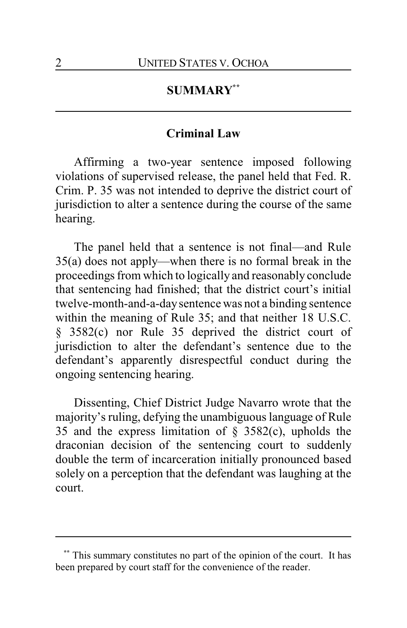## **SUMMARY\*\***

#### **Criminal Law**

Affirming a two-year sentence imposed following violations of supervised release, the panel held that Fed. R. Crim. P. 35 was not intended to deprive the district court of jurisdiction to alter a sentence during the course of the same hearing.

The panel held that a sentence is not final—and Rule 35(a) does not apply—when there is no formal break in the proceedings from which to logically and reasonably conclude that sentencing had finished; that the district court's initial twelve-month-and-a-daysentence was not a binding sentence within the meaning of Rule 35; and that neither 18 U.S.C. § 3582(c) nor Rule 35 deprived the district court of jurisdiction to alter the defendant's sentence due to the defendant's apparently disrespectful conduct during the ongoing sentencing hearing.

Dissenting, Chief District Judge Navarro wrote that the majority's ruling, defying the unambiguous language of Rule 35 and the express limitation of  $\S$  3582(c), upholds the draconian decision of the sentencing court to suddenly double the term of incarceration initially pronounced based solely on a perception that the defendant was laughing at the court.

This summary constitutes no part of the opinion of the court. It has been prepared by court staff for the convenience of the reader.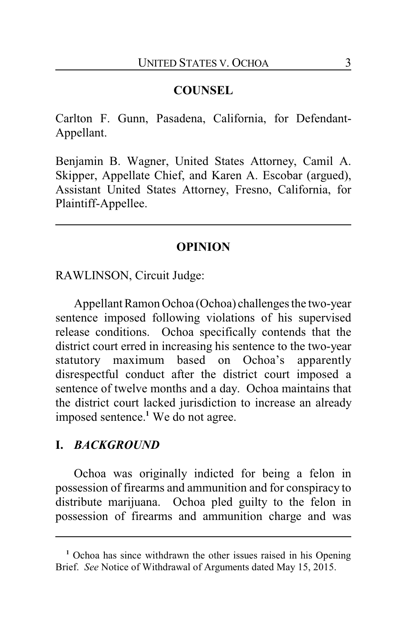## **COUNSEL**

Carlton F. Gunn, Pasadena, California, for Defendant-Appellant.

Benjamin B. Wagner, United States Attorney, Camil A. Skipper, Appellate Chief, and Karen A. Escobar (argued), Assistant United States Attorney, Fresno, California, for Plaintiff-Appellee.

### **OPINION**

RAWLINSON, Circuit Judge:

Appellant Ramon Ochoa (Ochoa) challenges the two-year sentence imposed following violations of his supervised release conditions. Ochoa specifically contends that the district court erred in increasing his sentence to the two-year statutory maximum based on Ochoa's apparently disrespectful conduct after the district court imposed a sentence of twelve months and a day. Ochoa maintains that the district court lacked jurisdiction to increase an already imposed sentence.**<sup>1</sup>** We do not agree.

#### **I.** *BACKGROUND*

Ochoa was originally indicted for being a felon in possession of firearms and ammunition and for conspiracy to distribute marijuana. Ochoa pled guilty to the felon in possession of firearms and ammunition charge and was

**<sup>1</sup>** Ochoa has since withdrawn the other issues raised in his Opening Brief. *See* Notice of Withdrawal of Arguments dated May 15, 2015.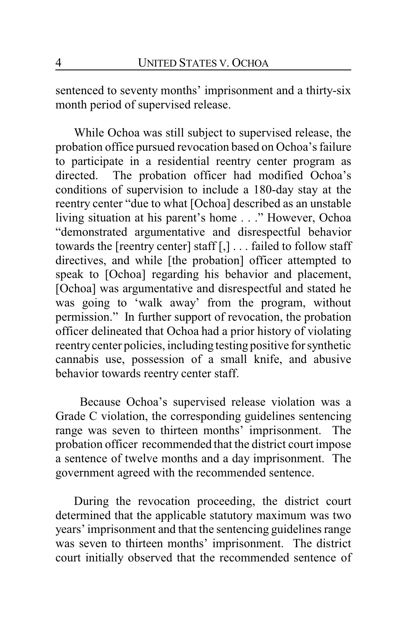sentenced to seventy months' imprisonment and a thirty-six month period of supervised release.

While Ochoa was still subject to supervised release, the probation office pursued revocation based on Ochoa's failure to participate in a residential reentry center program as directed. The probation officer had modified Ochoa's conditions of supervision to include a 180-day stay at the reentry center "due to what [Ochoa] described as an unstable living situation at his parent's home . . ." However, Ochoa "demonstrated argumentative and disrespectful behavior towards the [reentry center] staff [,] . . . failed to follow staff directives, and while [the probation] officer attempted to speak to [Ochoa] regarding his behavior and placement, [Ochoa] was argumentative and disrespectful and stated he was going to 'walk away' from the program, without permission." In further support of revocation, the probation officer delineated that Ochoa had a prior history of violating reentrycenter policies, including testing positive for synthetic cannabis use, possession of a small knife, and abusive behavior towards reentry center staff.

Because Ochoa's supervised release violation was a Grade C violation, the corresponding guidelines sentencing range was seven to thirteen months' imprisonment. The probation officer recommended that the district court impose a sentence of twelve months and a day imprisonment. The government agreed with the recommended sentence.

During the revocation proceeding, the district court determined that the applicable statutory maximum was two years' imprisonment and that the sentencing guidelines range was seven to thirteen months' imprisonment. The district court initially observed that the recommended sentence of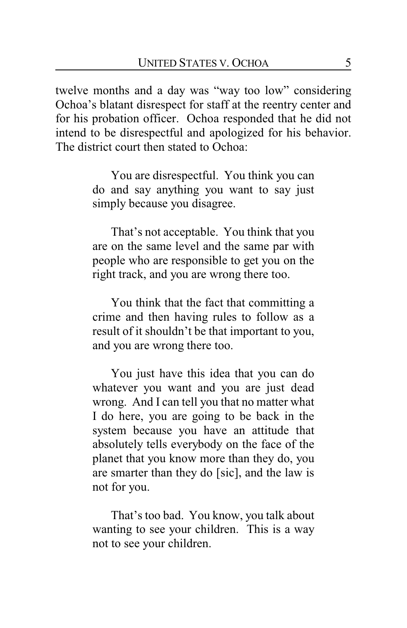twelve months and a day was "way too low" considering Ochoa's blatant disrespect for staff at the reentry center and for his probation officer. Ochoa responded that he did not intend to be disrespectful and apologized for his behavior. The district court then stated to Ochoa:

> You are disrespectful. You think you can do and say anything you want to say just simply because you disagree.

> That's not acceptable. You think that you are on the same level and the same par with people who are responsible to get you on the right track, and you are wrong there too.

> You think that the fact that committing a crime and then having rules to follow as a result of it shouldn't be that important to you, and you are wrong there too.

> You just have this idea that you can do whatever you want and you are just dead wrong. And I can tell you that no matter what I do here, you are going to be back in the system because you have an attitude that absolutely tells everybody on the face of the planet that you know more than they do, you are smarter than they do [sic], and the law is not for you.

> That's too bad. You know, you talk about wanting to see your children. This is a way not to see your children.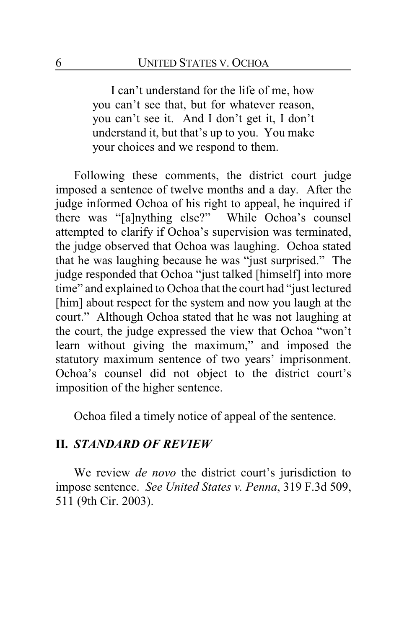I can't understand for the life of me, how you can't see that, but for whatever reason, you can't see it. And I don't get it, I don't understand it, but that's up to you. You make your choices and we respond to them.

Following these comments, the district court judge imposed a sentence of twelve months and a day. After the judge informed Ochoa of his right to appeal, he inquired if there was "[a]nything else?" While Ochoa's counsel attempted to clarify if Ochoa's supervision was terminated, the judge observed that Ochoa was laughing. Ochoa stated that he was laughing because he was "just surprised." The judge responded that Ochoa "just talked [himself] into more time" and explained to Ochoa that the court had "just lectured [him] about respect for the system and now you laugh at the court." Although Ochoa stated that he was not laughing at the court, the judge expressed the view that Ochoa "won't learn without giving the maximum," and imposed the statutory maximum sentence of two years' imprisonment. Ochoa's counsel did not object to the district court's imposition of the higher sentence.

Ochoa filed a timely notice of appeal of the sentence.

#### **II.** *STANDARD OF REVIEW*

We review *de novo* the district court's jurisdiction to impose sentence. *See United States v. Penna*, 319 F.3d 509, 511 (9th Cir. 2003).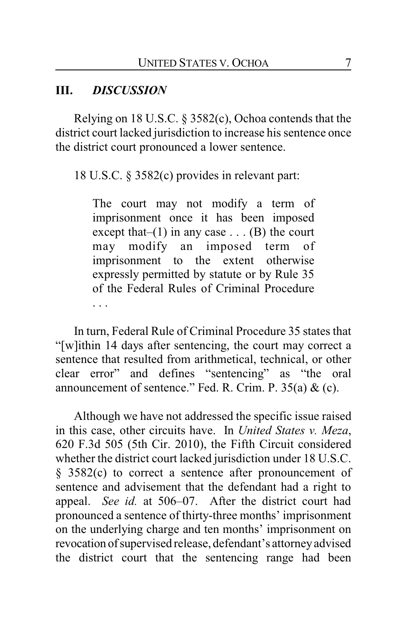# **III.** *DISCUSSION*

Relying on 18 U.S.C. § 3582(c), Ochoa contends that the district court lacked jurisdiction to increase his sentence once the district court pronounced a lower sentence.

18 U.S.C. § 3582(c) provides in relevant part:

The court may not modify a term of imprisonment once it has been imposed except that– $(1)$  in any case . . .  $(B)$  the court may modify an imposed term of imprisonment to the extent otherwise expressly permitted by statute or by Rule 35 of the Federal Rules of Criminal Procedure . . .

In turn, Federal Rule of Criminal Procedure 35 states that "[w]ithin 14 days after sentencing, the court may correct a sentence that resulted from arithmetical, technical, or other clear error" and defines "sentencing" as "the oral announcement of sentence." Fed. R. Crim. P.  $35(a) \&c$ .

Although we have not addressed the specific issue raised in this case, other circuits have. In *United States v. Meza*, 620 F.3d 505 (5th Cir. 2010), the Fifth Circuit considered whether the district court lacked jurisdiction under 18 U.S.C. § 3582(c) to correct a sentence after pronouncement of sentence and advisement that the defendant had a right to appeal. *See id.* at 506–07. After the district court had pronounced a sentence of thirty-three months' imprisonment on the underlying charge and ten months' imprisonment on revocation ofsupervised release, defendant's attorneyadvised the district court that the sentencing range had been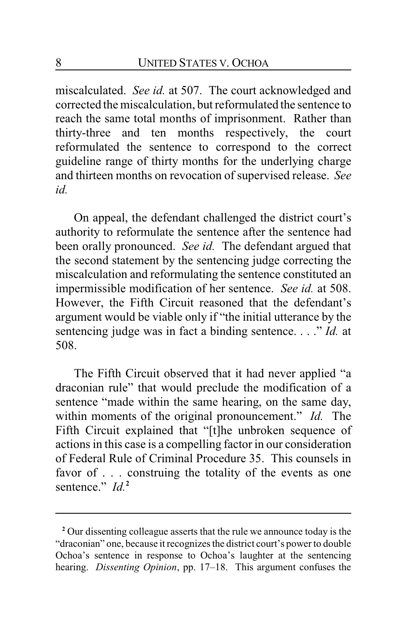miscalculated. *See id.* at 507. The court acknowledged and corrected the miscalculation, but reformulated the sentence to reach the same total months of imprisonment. Rather than thirty-three and ten months respectively, the court reformulated the sentence to correspond to the correct guideline range of thirty months for the underlying charge and thirteen months on revocation of supervised release. *See id.*

On appeal, the defendant challenged the district court's authority to reformulate the sentence after the sentence had been orally pronounced. *See id.* The defendant argued that the second statement by the sentencing judge correcting the miscalculation and reformulating the sentence constituted an impermissible modification of her sentence. *See id.* at 508. However, the Fifth Circuit reasoned that the defendant's argument would be viable only if "the initial utterance by the sentencing judge was in fact a binding sentence. . . ." *Id.* at 508.

The Fifth Circuit observed that it had never applied "a draconian rule" that would preclude the modification of a sentence "made within the same hearing, on the same day, within moments of the original pronouncement." *Id.* The Fifth Circuit explained that "[t]he unbroken sequence of actions in this case is a compelling factor in our consideration of Federal Rule of Criminal Procedure 35. This counsels in favor of . . . construing the totality of the events as one sentence." *Id.*<sup>2</sup>

**<sup>2</sup>** Our dissenting colleague asserts that the rule we announce today is the "draconian" one, because it recognizes the district court's power to double Ochoa's sentence in response to Ochoa's laughter at the sentencing hearing. *Dissenting Opinion*, pp. 17–18. This argument confuses the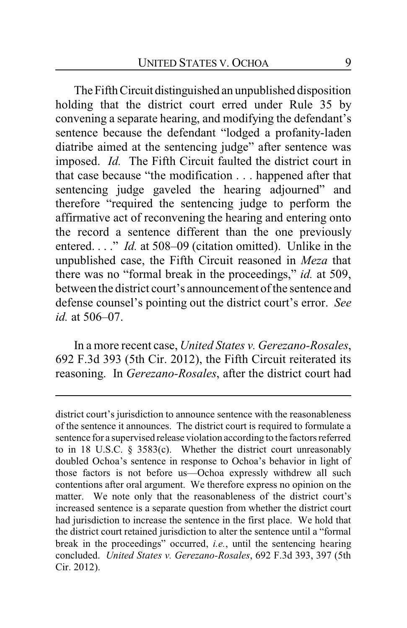The Fifth Circuit distinguished an unpublished disposition holding that the district court erred under Rule 35 by convening a separate hearing, and modifying the defendant's sentence because the defendant "lodged a profanity-laden diatribe aimed at the sentencing judge" after sentence was imposed. *Id.* The Fifth Circuit faulted the district court in that case because "the modification . . . happened after that sentencing judge gaveled the hearing adjourned" and therefore "required the sentencing judge to perform the affirmative act of reconvening the hearing and entering onto the record a sentence different than the one previously entered. . . ." *Id.* at 508–09 (citation omitted). Unlike in the unpublished case, the Fifth Circuit reasoned in *Meza* that there was no "formal break in the proceedings," *id.* at 509, between the district court's announcement of the sentence and defense counsel's pointing out the district court's error. *See id.* at 506–07.

In a more recent case, *United States v. Gerezano-Rosales*, 692 F.3d 393 (5th Cir. 2012), the Fifth Circuit reiterated its reasoning. In *Gerezano-Rosales*, after the district court had

district court's jurisdiction to announce sentence with the reasonableness of the sentence it announces. The district court is required to formulate a sentence for a supervised release violation according to the factors referred to in 18 U.S.C. § 3583(c). Whether the district court unreasonably doubled Ochoa's sentence in response to Ochoa's behavior in light of those factors is not before us—Ochoa expressly withdrew all such contentions after oral argument. We therefore express no opinion on the matter. We note only that the reasonableness of the district court's increased sentence is a separate question from whether the district court had jurisdiction to increase the sentence in the first place. We hold that the district court retained jurisdiction to alter the sentence until a "formal break in the proceedings" occurred, *i.e.*, until the sentencing hearing concluded. *United States v. Gerezano-Rosales*, 692 F.3d 393, 397 (5th Cir. 2012).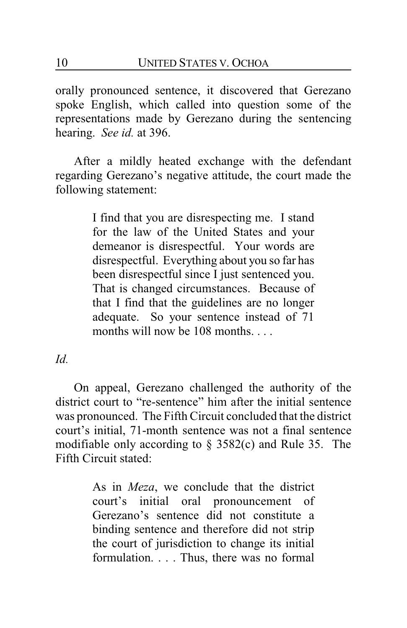orally pronounced sentence, it discovered that Gerezano spoke English, which called into question some of the representations made by Gerezano during the sentencing hearing. *See id.* at 396.

After a mildly heated exchange with the defendant regarding Gerezano's negative attitude, the court made the following statement:

> I find that you are disrespecting me. I stand for the law of the United States and your demeanor is disrespectful. Your words are disrespectful. Everything about you so far has been disrespectful since I just sentenced you. That is changed circumstances. Because of that I find that the guidelines are no longer adequate. So your sentence instead of 71 months will now be 108 months.

*Id.*

On appeal, Gerezano challenged the authority of the district court to "re-sentence" him after the initial sentence was pronounced. The Fifth Circuit concluded that the district court's initial, 71-month sentence was not a final sentence modifiable only according to § 3582(c) and Rule 35. The Fifth Circuit stated:

> As in *Meza*, we conclude that the district court's initial oral pronouncement of Gerezano's sentence did not constitute a binding sentence and therefore did not strip the court of jurisdiction to change its initial formulation. . . . Thus, there was no formal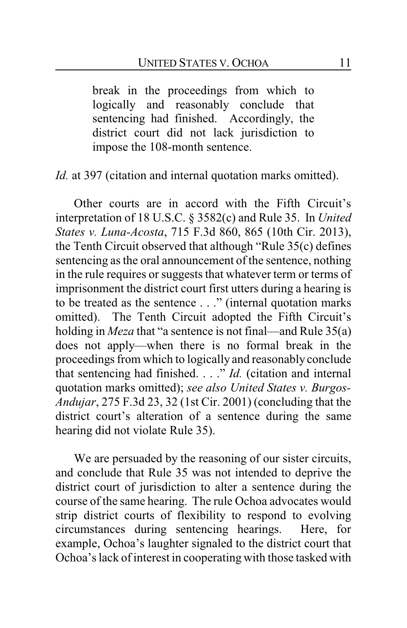break in the proceedings from which to logically and reasonably conclude that sentencing had finished. Accordingly, the district court did not lack jurisdiction to impose the 108-month sentence.

*Id.* at 397 (citation and internal quotation marks omitted).

Other courts are in accord with the Fifth Circuit's interpretation of 18 U.S.C. § 3582(c) and Rule 35. In *United States v. Luna-Acosta*, 715 F.3d 860, 865 (10th Cir. 2013), the Tenth Circuit observed that although "Rule 35(c) defines sentencing as the oral announcement of the sentence, nothing in the rule requires or suggests that whatever term or terms of imprisonment the district court first utters during a hearing is to be treated as the sentence . . ." (internal quotation marks omitted). The Tenth Circuit adopted the Fifth Circuit's holding in *Meza* that "a sentence is not final—and Rule 35(a) does not apply—when there is no formal break in the proceedings from which to logically and reasonably conclude that sentencing had finished. . . ." *Id.* (citation and internal quotation marks omitted); *see also United States v. Burgos-Andujar*, 275 F.3d 23, 32 (1st Cir. 2001) (concluding that the district court's alteration of a sentence during the same hearing did not violate Rule 35).

We are persuaded by the reasoning of our sister circuits, and conclude that Rule 35 was not intended to deprive the district court of jurisdiction to alter a sentence during the course of the same hearing. The rule Ochoa advocates would strip district courts of flexibility to respond to evolving circumstances during sentencing hearings. Here, for example, Ochoa's laughter signaled to the district court that Ochoa's lack of interest in cooperating with those tasked with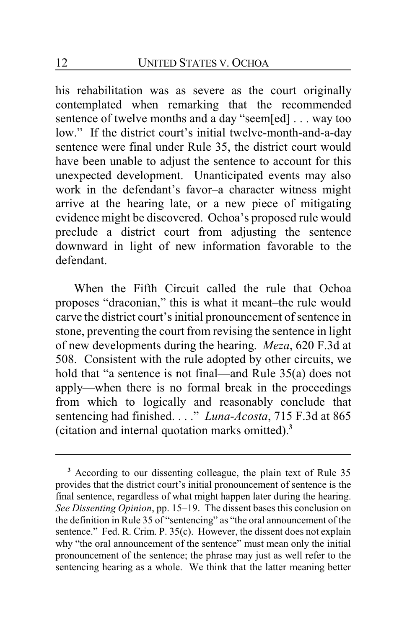his rehabilitation was as severe as the court originally contemplated when remarking that the recommended sentence of twelve months and a day "seem[ed] . . . way too low." If the district court's initial twelve-month-and-a-day sentence were final under Rule 35, the district court would have been unable to adjust the sentence to account for this unexpected development. Unanticipated events may also work in the defendant's favor–a character witness might arrive at the hearing late, or a new piece of mitigating evidence might be discovered. Ochoa's proposed rule would preclude a district court from adjusting the sentence downward in light of new information favorable to the defendant.

When the Fifth Circuit called the rule that Ochoa proposes "draconian," this is what it meant–the rule would carve the district court's initial pronouncement of sentence in stone, preventing the court from revising the sentence in light of new developments during the hearing. *Meza*, 620 F.3d at 508. Consistent with the rule adopted by other circuits, we hold that "a sentence is not final—and Rule 35(a) does not apply—when there is no formal break in the proceedings from which to logically and reasonably conclude that sentencing had finished. . . ." *Luna-Acosta*, 715 F.3d at 865 (citation and internal quotation marks omitted).**<sup>3</sup>**

**<sup>3</sup>** According to our dissenting colleague, the plain text of Rule 35 provides that the district court's initial pronouncement of sentence is the final sentence, regardless of what might happen later during the hearing. *See Dissenting Opinion*, pp. 15–19. The dissent bases this conclusion on the definition in Rule 35 of "sentencing" as "the oral announcement of the sentence." Fed. R. Crim. P. 35(c). However, the dissent does not explain why "the oral announcement of the sentence" must mean only the initial pronouncement of the sentence; the phrase may just as well refer to the sentencing hearing as a whole. We think that the latter meaning better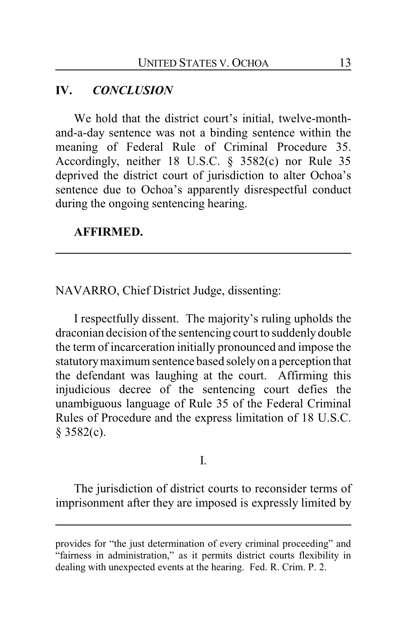# **IV.** *CONCLUSION*

We hold that the district court's initial, twelve-monthand-a-day sentence was not a binding sentence within the meaning of Federal Rule of Criminal Procedure 35. Accordingly, neither 18 U.S.C. § 3582(c) nor Rule 35 deprived the district court of jurisdiction to alter Ochoa's sentence due to Ochoa's apparently disrespectful conduct during the ongoing sentencing hearing.

#### **AFFIRMED.**

NAVARRO, Chief District Judge, dissenting:

I respectfully dissent. The majority's ruling upholds the draconian decision of the sentencing court to suddenlydouble the term of incarceration initially pronounced and impose the statutorymaximum sentence based solely on a perception that the defendant was laughing at the court. Affirming this injudicious decree of the sentencing court defies the unambiguous language of Rule 35 of the Federal Criminal Rules of Procedure and the express limitation of 18 U.S.C.  $§ 3582(c).$ 

#### I.

The jurisdiction of district courts to reconsider terms of imprisonment after they are imposed is expressly limited by

provides for "the just determination of every criminal proceeding" and "fairness in administration," as it permits district courts flexibility in dealing with unexpected events at the hearing. Fed. R. Crim. P. 2.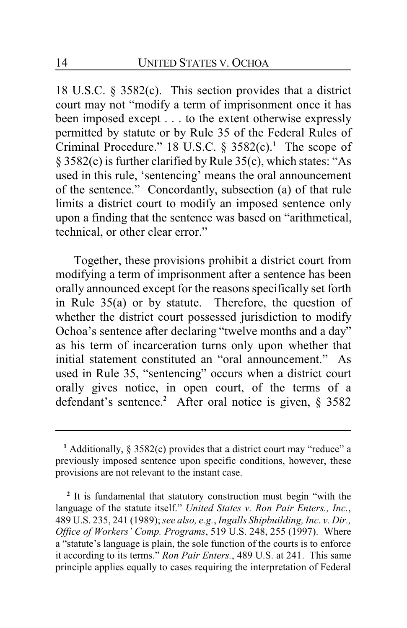18 U.S.C. § 3582(c). This section provides that a district court may not "modify a term of imprisonment once it has been imposed except . . . to the extent otherwise expressly permitted by statute or by Rule 35 of the Federal Rules of Criminal Procedure." 18 U.S.C. § 3582(c).**<sup>1</sup>** The scope of § 3582(c) is further clarified by Rule 35(c), which states: "As used in this rule, 'sentencing' means the oral announcement of the sentence." Concordantly, subsection (a) of that rule limits a district court to modify an imposed sentence only upon a finding that the sentence was based on "arithmetical, technical, or other clear error."

Together, these provisions prohibit a district court from modifying a term of imprisonment after a sentence has been orally announced except for the reasons specifically set forth in Rule 35(a) or by statute. Therefore, the question of whether the district court possessed jurisdiction to modify Ochoa's sentence after declaring "twelve months and a day" as his term of incarceration turns only upon whether that initial statement constituted an "oral announcement." As used in Rule 35, "sentencing" occurs when a district court orally gives notice, in open court, of the terms of a defendant's sentence.**<sup>2</sup>** After oral notice is given, § 3582

**<sup>1</sup>** Additionally, § 3582(c) provides that a district court may "reduce" a previously imposed sentence upon specific conditions, however, these provisions are not relevant to the instant case.

<sup>&</sup>lt;sup>2</sup> It is fundamental that statutory construction must begin "with the language of the statute itself." *United States v. Ron Pair Enters., Inc.*, 489 U.S. 235, 241 (1989); *see also, e.g.*, *Ingalls Shipbuilding, Inc. v. Dir., Office of Workers' Comp. Programs*, 519 U.S. 248, 255 (1997). Where a "statute's language is plain, the sole function of the courts is to enforce it according to its terms." *Ron Pair Enters.*, 489 U.S. at 241. This same principle applies equally to cases requiring the interpretation of Federal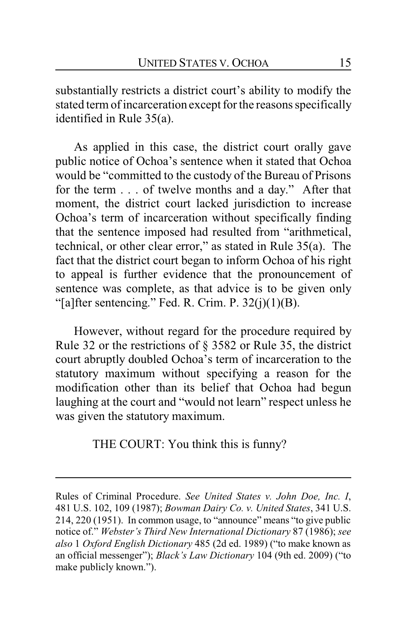substantially restricts a district court's ability to modify the stated term of incarceration except for the reasons specifically identified in Rule 35(a).

As applied in this case, the district court orally gave public notice of Ochoa's sentence when it stated that Ochoa would be "committed to the custody of the Bureau of Prisons for the term . . . of twelve months and a day." After that moment, the district court lacked jurisdiction to increase Ochoa's term of incarceration without specifically finding that the sentence imposed had resulted from "arithmetical, technical, or other clear error," as stated in Rule 35(a). The fact that the district court began to inform Ochoa of his right to appeal is further evidence that the pronouncement of sentence was complete, as that advice is to be given only "[a]fter sentencing." Fed. R. Crim. P.  $32(j)(1)(B)$ .

However, without regard for the procedure required by Rule 32 or the restrictions of § 3582 or Rule 35, the district court abruptly doubled Ochoa's term of incarceration to the statutory maximum without specifying a reason for the modification other than its belief that Ochoa had begun laughing at the court and "would not learn" respect unless he was given the statutory maximum.

THE COURT: You think this is funny?

Rules of Criminal Procedure. *See United States v. John Doe, Inc. I*, 481 U.S. 102, 109 (1987); *Bowman Dairy Co. v. United States*, 341 U.S. 214, 220 (1951). In common usage, to "announce" means "to give public notice of." *Webster's Third New International Dictionary* 87 (1986); *see also* 1 *Oxford English Dictionary* 485 (2d ed. 1989) ("to make known as an official messenger"); *Black's Law Dictionary* 104 (9th ed. 2009) ("to make publicly known.").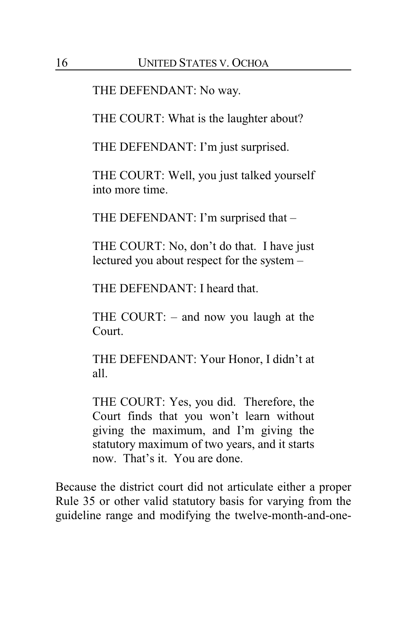THE DEFENDANT: No way.

THE COURT: What is the laughter about?

THE DEFENDANT: I'm just surprised.

THE COURT: Well, you just talked yourself into more time.

THE DEFENDANT: I'm surprised that –

THE COURT: No, don't do that. I have just lectured you about respect for the system –

THE DEFENDANT: I heard that.

THE COURT: – and now you laugh at the Court.

THE DEFENDANT: Your Honor, I didn't at all.

THE COURT: Yes, you did. Therefore, the Court finds that you won't learn without giving the maximum, and I'm giving the statutory maximum of two years, and it starts now. That's it. You are done.

Because the district court did not articulate either a proper Rule 35 or other valid statutory basis for varying from the guideline range and modifying the twelve-month-and-one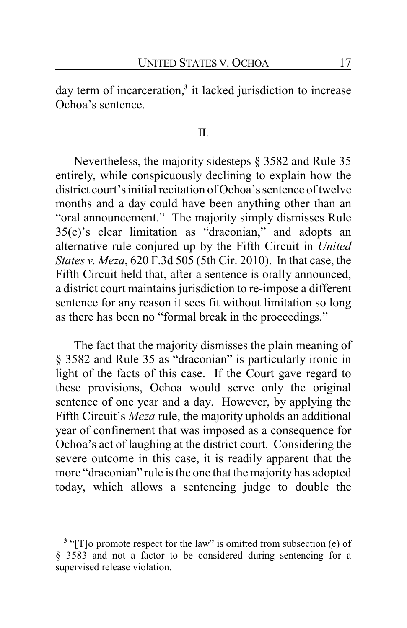day term of incarceration,**<sup>3</sup>** it lacked jurisdiction to increase Ochoa's sentence.

II.

Nevertheless, the majority sidesteps § 3582 and Rule 35 entirely, while conspicuously declining to explain how the district court's initial recitation of Ochoa's sentence of twelve months and a day could have been anything other than an "oral announcement." The majority simply dismisses Rule 35(c)'s clear limitation as "draconian," and adopts an alternative rule conjured up by the Fifth Circuit in *United States v. Meza*, 620 F.3d 505 (5th Cir. 2010). In that case, the Fifth Circuit held that, after a sentence is orally announced, a district court maintains jurisdiction to re-impose a different sentence for any reason it sees fit without limitation so long as there has been no "formal break in the proceedings."

The fact that the majority dismisses the plain meaning of § 3582 and Rule 35 as "draconian" is particularly ironic in light of the facts of this case. If the Court gave regard to these provisions, Ochoa would serve only the original sentence of one year and a day. However, by applying the Fifth Circuit's *Meza* rule, the majority upholds an additional year of confinement that was imposed as a consequence for Ochoa's act of laughing at the district court. Considering the severe outcome in this case, it is readily apparent that the more "draconian" rule is the one that the majority has adopted today, which allows a sentencing judge to double the

<sup>&</sup>lt;sup>3</sup> "[T]o promote respect for the law" is omitted from subsection (e) of § 3583 and not a factor to be considered during sentencing for a supervised release violation.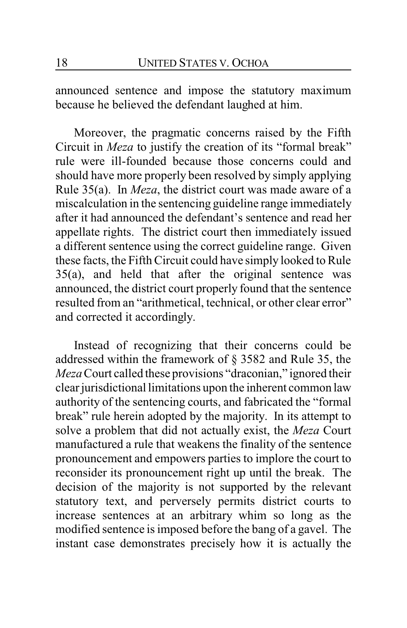announced sentence and impose the statutory maximum because he believed the defendant laughed at him.

Moreover, the pragmatic concerns raised by the Fifth Circuit in *Meza* to justify the creation of its "formal break" rule were ill-founded because those concerns could and should have more properly been resolved by simply applying Rule 35(a). In *Meza*, the district court was made aware of a miscalculation in the sentencing guideline range immediately after it had announced the defendant's sentence and read her appellate rights. The district court then immediately issued a different sentence using the correct guideline range. Given these facts, the Fifth Circuit could have simply looked to Rule 35(a), and held that after the original sentence was announced, the district court properly found that the sentence resulted from an "arithmetical, technical, or other clear error" and corrected it accordingly.

Instead of recognizing that their concerns could be addressed within the framework of § 3582 and Rule 35, the *Meza*Court called these provisions "draconian," ignored their clear jurisdictional limitations upon the inherent common law authority of the sentencing courts, and fabricated the "formal break" rule herein adopted by the majority. In its attempt to solve a problem that did not actually exist, the *Meza* Court manufactured a rule that weakens the finality of the sentence pronouncement and empowers parties to implore the court to reconsider its pronouncement right up until the break. The decision of the majority is not supported by the relevant statutory text, and perversely permits district courts to increase sentences at an arbitrary whim so long as the modified sentence is imposed before the bang of a gavel. The instant case demonstrates precisely how it is actually the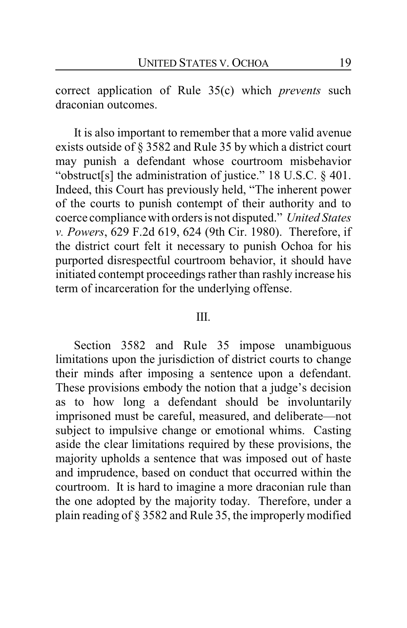correct application of Rule 35(c) which *prevents* such draconian outcomes.

It is also important to remember that a more valid avenue exists outside of § 3582 and Rule 35 by which a district court may punish a defendant whose courtroom misbehavior "obstruct[s] the administration of justice." 18 U.S.C. § 401. Indeed, this Court has previously held, "The inherent power of the courts to punish contempt of their authority and to coerce compliance with orders is not disputed." *United States v. Powers*, 629 F.2d 619, 624 (9th Cir. 1980). Therefore, if the district court felt it necessary to punish Ochoa for his purported disrespectful courtroom behavior, it should have initiated contempt proceedings rather than rashly increase his term of incarceration for the underlying offense.

#### III.

Section 3582 and Rule 35 impose unambiguous limitations upon the jurisdiction of district courts to change their minds after imposing a sentence upon a defendant. These provisions embody the notion that a judge's decision as to how long a defendant should be involuntarily imprisoned must be careful, measured, and deliberate—not subject to impulsive change or emotional whims. Casting aside the clear limitations required by these provisions, the majority upholds a sentence that was imposed out of haste and imprudence, based on conduct that occurred within the courtroom. It is hard to imagine a more draconian rule than the one adopted by the majority today. Therefore, under a plain reading of § 3582 and Rule 35, the improperly modified